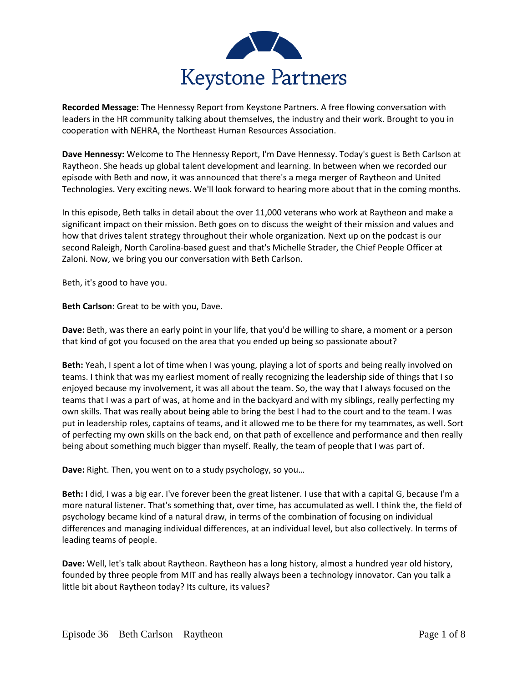

**Recorded Message:** The Hennessy Report from Keystone Partners. A free flowing conversation with leaders in the HR community talking about themselves, the industry and their work. Brought to you in cooperation with NEHRA, the Northeast Human Resources Association.

**Dave Hennessy:** Welcome to The Hennessy Report, I'm Dave Hennessy. Today's guest is Beth Carlson at Raytheon. She heads up global talent development and learning. In between when we recorded our episode with Beth and now, it was announced that there's a mega merger of Raytheon and United Technologies. Very exciting news. We'll look forward to hearing more about that in the coming months.

In this episode, Beth talks in detail about the over 11,000 veterans who work at Raytheon and make a significant impact on their mission. Beth goes on to discuss the weight of their mission and values and how that drives talent strategy throughout their whole organization. Next up on the podcast is our second Raleigh, North Carolina-based guest and that's Michelle Strader, the Chief People Officer at Zaloni. Now, we bring you our conversation with Beth Carlson.

Beth, it's good to have you.

**Beth Carlson:** Great to be with you, Dave.

**Dave:** Beth, was there an early point in your life, that you'd be willing to share, a moment or a person that kind of got you focused on the area that you ended up being so passionate about?

**Beth:** Yeah, I spent a lot of time when I was young, playing a lot of sports and being really involved on teams. I think that was my earliest moment of really recognizing the leadership side of things that I so enjoyed because my involvement, it was all about the team. So, the way that I always focused on the teams that I was a part of was, at home and in the backyard and with my siblings, really perfecting my own skills. That was really about being able to bring the best I had to the court and to the team. I was put in leadership roles, captains of teams, and it allowed me to be there for my teammates, as well. Sort of perfecting my own skills on the back end, on that path of excellence and performance and then really being about something much bigger than myself. Really, the team of people that I was part of.

**Dave:** Right. Then, you went on to a study psychology, so you…

**Beth:** I did, I was a big ear. I've forever been the great listener. I use that with a capital G, because I'm a more natural listener. That's something that, over time, has accumulated as well. I think the, the field of psychology became kind of a natural draw, in terms of the combination of focusing on individual differences and managing individual differences, at an individual level, but also collectively. In terms of leading teams of people.

**Dave:** Well, let's talk about Raytheon. Raytheon has a long history, almost a hundred year old history, founded by three people from MIT and has really always been a technology innovator. Can you talk a little bit about Raytheon today? Its culture, its values?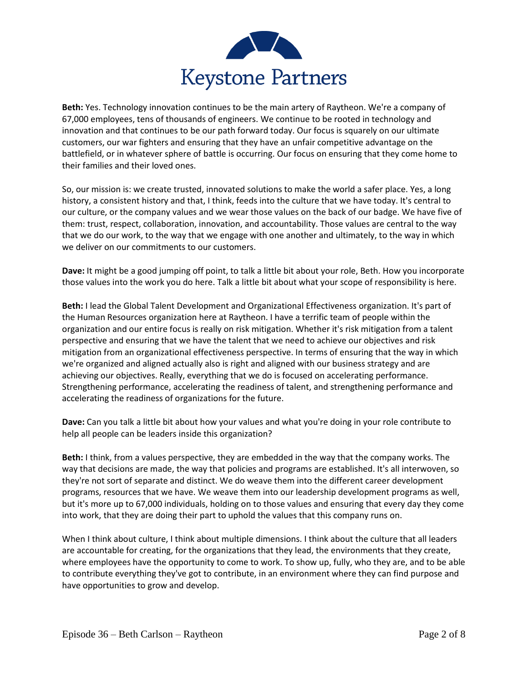

**Beth:** Yes. Technology innovation continues to be the main artery of Raytheon. We're a company of 67,000 employees, tens of thousands of engineers. We continue to be rooted in technology and innovation and that continues to be our path forward today. Our focus is squarely on our ultimate customers, our war fighters and ensuring that they have an unfair competitive advantage on the battlefield, or in whatever sphere of battle is occurring. Our focus on ensuring that they come home to their families and their loved ones.

So, our mission is: we create trusted, innovated solutions to make the world a safer place. Yes, a long history, a consistent history and that, I think, feeds into the culture that we have today. It's central to our culture, or the company values and we wear those values on the back of our badge. We have five of them: trust, respect, collaboration, innovation, and accountability. Those values are central to the way that we do our work, to the way that we engage with one another and ultimately, to the way in which we deliver on our commitments to our customers.

**Dave:** It might be a good jumping off point, to talk a little bit about your role, Beth. How you incorporate those values into the work you do here. Talk a little bit about what your scope of responsibility is here.

**Beth:** I lead the Global Talent Development and Organizational Effectiveness organization. It's part of the Human Resources organization here at Raytheon. I have a terrific team of people within the organization and our entire focus is really on risk mitigation. Whether it's risk mitigation from a talent perspective and ensuring that we have the talent that we need to achieve our objectives and risk mitigation from an organizational effectiveness perspective. In terms of ensuring that the way in which we're organized and aligned actually also is right and aligned with our business strategy and are achieving our objectives. Really, everything that we do is focused on accelerating performance. Strengthening performance, accelerating the readiness of talent, and strengthening performance and accelerating the readiness of organizations for the future.

**Dave:** Can you talk a little bit about how your values and what you're doing in your role contribute to help all people can be leaders inside this organization?

**Beth:** I think, from a values perspective, they are embedded in the way that the company works. The way that decisions are made, the way that policies and programs are established. It's all interwoven, so they're not sort of separate and distinct. We do weave them into the different career development programs, resources that we have. We weave them into our leadership development programs as well, but it's more up to 67,000 individuals, holding on to those values and ensuring that every day they come into work, that they are doing their part to uphold the values that this company runs on.

When I think about culture, I think about multiple dimensions. I think about the culture that all leaders are accountable for creating, for the organizations that they lead, the environments that they create, where employees have the opportunity to come to work. To show up, fully, who they are, and to be able to contribute everything they've got to contribute, in an environment where they can find purpose and have opportunities to grow and develop.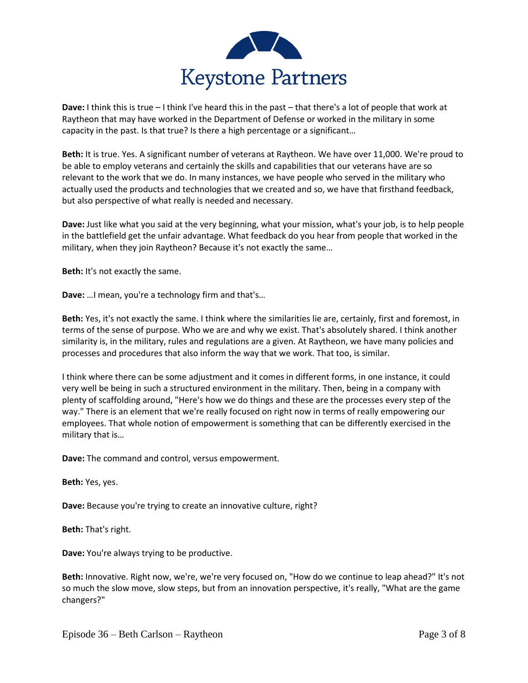

**Dave:** I think this is true – I think I've heard this in the past – that there's a lot of people that work at Raytheon that may have worked in the Department of Defense or worked in the military in some capacity in the past. Is that true? Is there a high percentage or a significant…

**Beth:** It is true. Yes. A significant number of veterans at Raytheon. We have over 11,000. We're proud to be able to employ veterans and certainly the skills and capabilities that our veterans have are so relevant to the work that we do. In many instances, we have people who served in the military who actually used the products and technologies that we created and so, we have that firsthand feedback, but also perspective of what really is needed and necessary.

**Dave:** Just like what you said at the very beginning, what your mission, what's your job, is to help people in the battlefield get the unfair advantage. What feedback do you hear from people that worked in the military, when they join Raytheon? Because it's not exactly the same…

**Beth:** It's not exactly the same.

**Dave:** …I mean, you're a technology firm and that's…

**Beth:** Yes, it's not exactly the same. I think where the similarities lie are, certainly, first and foremost, in terms of the sense of purpose. Who we are and why we exist. That's absolutely shared. I think another similarity is, in the military, rules and regulations are a given. At Raytheon, we have many policies and processes and procedures that also inform the way that we work. That too, is similar.

I think where there can be some adjustment and it comes in different forms, in one instance, it could very well be being in such a structured environment in the military. Then, being in a company with plenty of scaffolding around, "Here's how we do things and these are the processes every step of the way." There is an element that we're really focused on right now in terms of really empowering our employees. That whole notion of empowerment is something that can be differently exercised in the military that is…

**Dave:** The command and control, versus empowerment.

**Beth:** Yes, yes.

**Dave:** Because you're trying to create an innovative culture, right?

**Beth:** That's right.

**Dave:** You're always trying to be productive.

**Beth:** Innovative. Right now, we're, we're very focused on, "How do we continue to leap ahead?" It's not so much the slow move, slow steps, but from an innovation perspective, it's really, "What are the game changers?"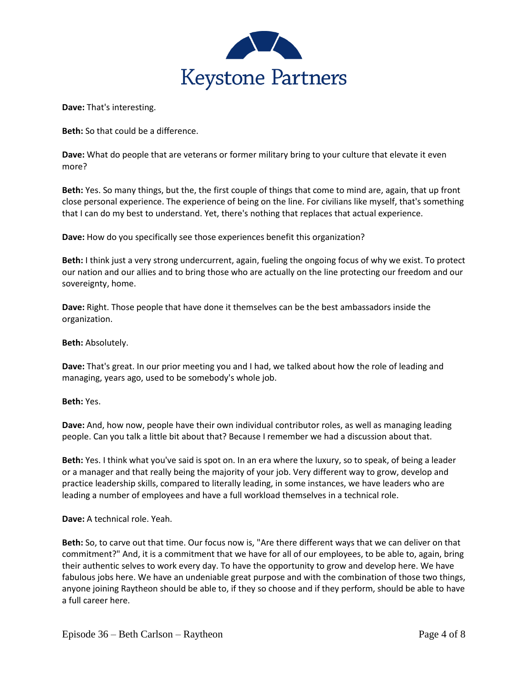

**Dave:** That's interesting.

**Beth:** So that could be a difference.

**Dave:** What do people that are veterans or former military bring to your culture that elevate it even more?

**Beth:** Yes. So many things, but the, the first couple of things that come to mind are, again, that up front close personal experience. The experience of being on the line. For civilians like myself, that's something that I can do my best to understand. Yet, there's nothing that replaces that actual experience.

**Dave:** How do you specifically see those experiences benefit this organization?

**Beth:** I think just a very strong undercurrent, again, fueling the ongoing focus of why we exist. To protect our nation and our allies and to bring those who are actually on the line protecting our freedom and our sovereignty, home.

**Dave:** Right. Those people that have done it themselves can be the best ambassadors inside the organization.

**Beth:** Absolutely.

**Dave:** That's great. In our prior meeting you and I had, we talked about how the role of leading and managing, years ago, used to be somebody's whole job.

**Beth:** Yes.

**Dave:** And, how now, people have their own individual contributor roles, as well as managing leading people. Can you talk a little bit about that? Because I remember we had a discussion about that.

**Beth:** Yes. I think what you've said is spot on. In an era where the luxury, so to speak, of being a leader or a manager and that really being the majority of your job. Very different way to grow, develop and practice leadership skills, compared to literally leading, in some instances, we have leaders who are leading a number of employees and have a full workload themselves in a technical role.

**Dave:** A technical role. Yeah.

**Beth:** So, to carve out that time. Our focus now is, "Are there different ways that we can deliver on that commitment?" And, it is a commitment that we have for all of our employees, to be able to, again, bring their authentic selves to work every day. To have the opportunity to grow and develop here. We have fabulous jobs here. We have an undeniable great purpose and with the combination of those two things, anyone joining Raytheon should be able to, if they so choose and if they perform, should be able to have a full career here.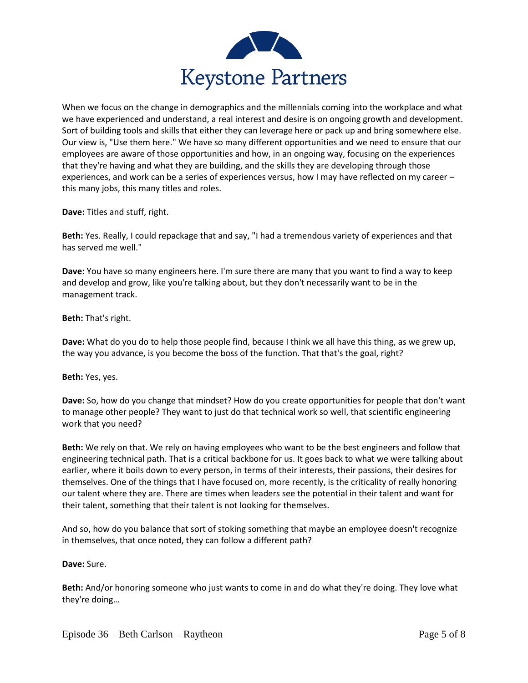

When we focus on the change in demographics and the millennials coming into the workplace and what we have experienced and understand, a real interest and desire is on ongoing growth and development. Sort of building tools and skills that either they can leverage here or pack up and bring somewhere else. Our view is, "Use them here." We have so many different opportunities and we need to ensure that our employees are aware of those opportunities and how, in an ongoing way, focusing on the experiences that they're having and what they are building, and the skills they are developing through those experiences, and work can be a series of experiences versus, how I may have reflected on my career – this many jobs, this many titles and roles.

**Dave:** Titles and stuff, right.

**Beth:** Yes. Really, I could repackage that and say, "I had a tremendous variety of experiences and that has served me well."

**Dave:** You have so many engineers here. I'm sure there are many that you want to find a way to keep and develop and grow, like you're talking about, but they don't necessarily want to be in the management track.

## **Beth:** That's right.

**Dave:** What do you do to help those people find, because I think we all have this thing, as we grew up, the way you advance, is you become the boss of the function. That that's the goal, right?

**Beth:** Yes, yes.

**Dave:** So, how do you change that mindset? How do you create opportunities for people that don't want to manage other people? They want to just do that technical work so well, that scientific engineering work that you need?

**Beth:** We rely on that. We rely on having employees who want to be the best engineers and follow that engineering technical path. That is a critical backbone for us. It goes back to what we were talking about earlier, where it boils down to every person, in terms of their interests, their passions, their desires for themselves. One of the things that I have focused on, more recently, is the criticality of really honoring our talent where they are. There are times when leaders see the potential in their talent and want for their talent, something that their talent is not looking for themselves.

And so, how do you balance that sort of stoking something that maybe an employee doesn't recognize in themselves, that once noted, they can follow a different path?

**Dave:** Sure.

**Beth:** And/or honoring someone who just wants to come in and do what they're doing. They love what they're doing…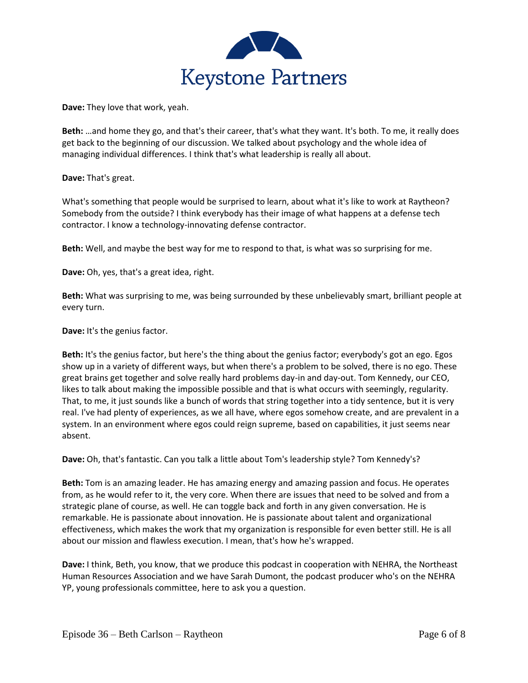

**Dave:** They love that work, yeah.

**Beth:** …and home they go, and that's their career, that's what they want. It's both. To me, it really does get back to the beginning of our discussion. We talked about psychology and the whole idea of managing individual differences. I think that's what leadership is really all about.

**Dave:** That's great.

What's something that people would be surprised to learn, about what it's like to work at Raytheon? Somebody from the outside? I think everybody has their image of what happens at a defense tech contractor. I know a technology-innovating defense contractor.

**Beth:** Well, and maybe the best way for me to respond to that, is what was so surprising for me.

**Dave:** Oh, yes, that's a great idea, right.

**Beth:** What was surprising to me, was being surrounded by these unbelievably smart, brilliant people at every turn.

**Dave:** It's the genius factor.

**Beth:** It's the genius factor, but here's the thing about the genius factor; everybody's got an ego. Egos show up in a variety of different ways, but when there's a problem to be solved, there is no ego. These great brains get together and solve really hard problems day-in and day-out. Tom Kennedy, our CEO, likes to talk about making the impossible possible and that is what occurs with seemingly, regularity. That, to me, it just sounds like a bunch of words that string together into a tidy sentence, but it is very real. I've had plenty of experiences, as we all have, where egos somehow create, and are prevalent in a system. In an environment where egos could reign supreme, based on capabilities, it just seems near absent.

**Dave:** Oh, that's fantastic. Can you talk a little about Tom's leadership style? Tom Kennedy's?

**Beth:** Tom is an amazing leader. He has amazing energy and amazing passion and focus. He operates from, as he would refer to it, the very core. When there are issues that need to be solved and from a strategic plane of course, as well. He can toggle back and forth in any given conversation. He is remarkable. He is passionate about innovation. He is passionate about talent and organizational effectiveness, which makes the work that my organization is responsible for even better still. He is all about our mission and flawless execution. I mean, that's how he's wrapped.

**Dave:** I think, Beth, you know, that we produce this podcast in cooperation with NEHRA, the Northeast Human Resources Association and we have Sarah Dumont, the podcast producer who's on the NEHRA YP, young professionals committee, here to ask you a question.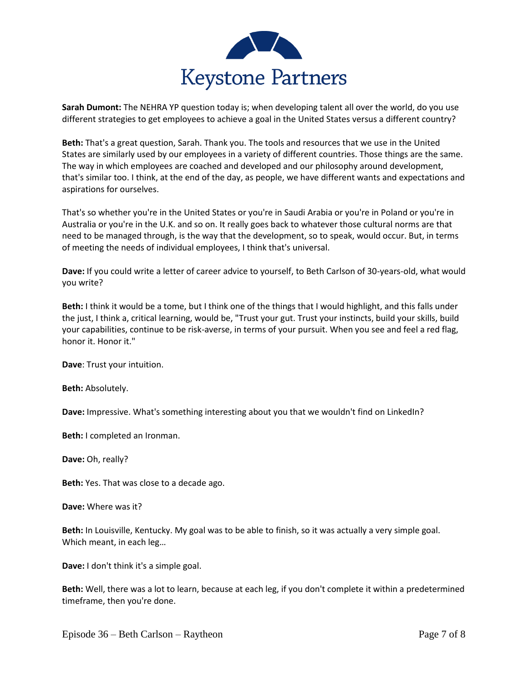

**Sarah Dumont:** The NEHRA YP question today is; when developing talent all over the world, do you use different strategies to get employees to achieve a goal in the United States versus a different country?

**Beth:** That's a great question, Sarah. Thank you. The tools and resources that we use in the United States are similarly used by our employees in a variety of different countries. Those things are the same. The way in which employees are coached and developed and our philosophy around development, that's similar too. I think, at the end of the day, as people, we have different wants and expectations and aspirations for ourselves.

That's so whether you're in the United States or you're in Saudi Arabia or you're in Poland or you're in Australia or you're in the U.K. and so on. It really goes back to whatever those cultural norms are that need to be managed through, is the way that the development, so to speak, would occur. But, in terms of meeting the needs of individual employees, I think that's universal.

**Dave:** If you could write a letter of career advice to yourself, to Beth Carlson of 30-years-old, what would you write?

**Beth:** I think it would be a tome, but I think one of the things that I would highlight, and this falls under the just, I think a, critical learning, would be, "Trust your gut. Trust your instincts, build your skills, build your capabilities, continue to be risk-averse, in terms of your pursuit. When you see and feel a red flag, honor it. Honor it."

**Dave**: Trust your intuition.

**Beth:** Absolutely.

**Dave:** Impressive. What's something interesting about you that we wouldn't find on LinkedIn?

**Beth:** I completed an Ironman.

**Dave:** Oh, really?

**Beth:** Yes. That was close to a decade ago.

**Dave:** Where was it?

**Beth:** In Louisville, Kentucky. My goal was to be able to finish, so it was actually a very simple goal. Which meant, in each leg…

**Dave:** I don't think it's a simple goal.

**Beth:** Well, there was a lot to learn, because at each leg, if you don't complete it within a predetermined timeframe, then you're done.